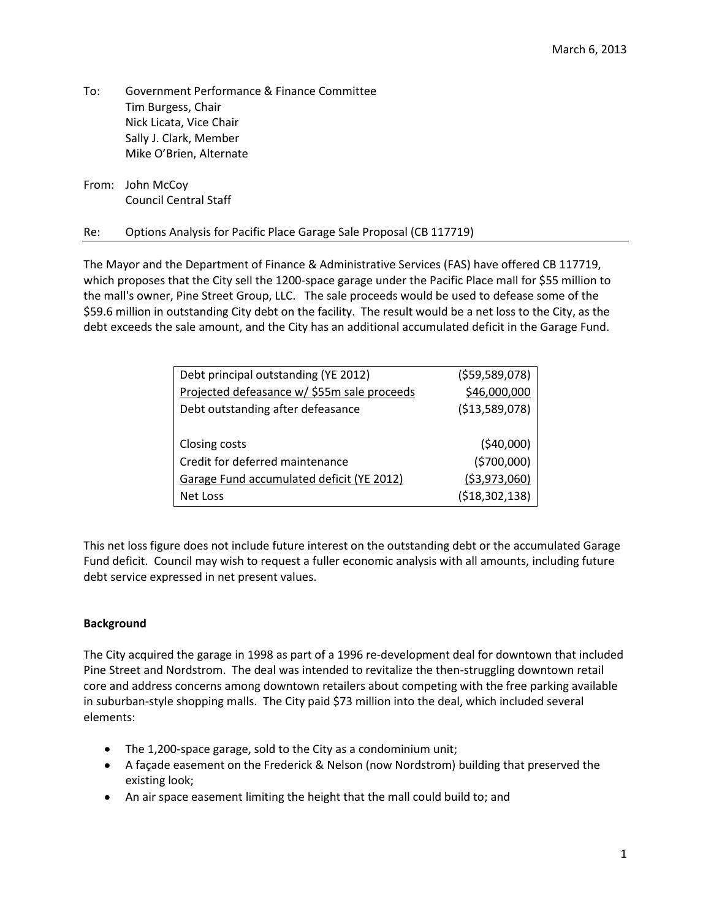- To: Government Performance & Finance Committee Tim Burgess, Chair Nick Licata, Vice Chair Sally J. Clark, Member Mike O'Brien, Alternate
- From: John McCoy Council Central Staff

# Re: Options Analysis for Pacific Place Garage Sale Proposal (CB 117719)

The Mayor and the Department of Finance & Administrative Services (FAS) have offered CB 117719, which proposes that the City sell the 1200-space garage under the Pacific Place mall for \$55 million to the mall's owner, Pine Street Group, LLC. The sale proceeds would be used to defease some of the \$59.6 million in outstanding City debt on the facility. The result would be a net loss to the City, as the debt exceeds the sale amount, and the City has an additional accumulated deficit in the Garage Fund.

| Debt principal outstanding (YE 2012)        | ( \$59,589,078)   |
|---------------------------------------------|-------------------|
|                                             |                   |
| Projected defeasance w/ \$55m sale proceeds | \$46,000,000      |
| Debt outstanding after defeasance           | (\$13,589,078)    |
|                                             |                   |
| Closing costs                               | (540,000)         |
| Credit for deferred maintenance             | (5700,000)        |
| Garage Fund accumulated deficit (YE 2012)   | ( \$3,973,060)    |
| Net Loss                                    | ( \$18, 302, 138) |

This net loss figure does not include future interest on the outstanding debt or the accumulated Garage Fund deficit. Council may wish to request a fuller economic analysis with all amounts, including future debt service expressed in net present values.

# **Background**

The City acquired the garage in 1998 as part of a 1996 re-development deal for downtown that included Pine Street and Nordstrom. The deal was intended to revitalize the then-struggling downtown retail core and address concerns among downtown retailers about competing with the free parking available in suburban-style shopping malls. The City paid \$73 million into the deal, which included several elements:

- The 1,200-space garage, sold to the City as a condominium unit;
- A façade easement on the Frederick & Nelson (now Nordstrom) building that preserved the existing look;
- An air space easement limiting the height that the mall could build to; and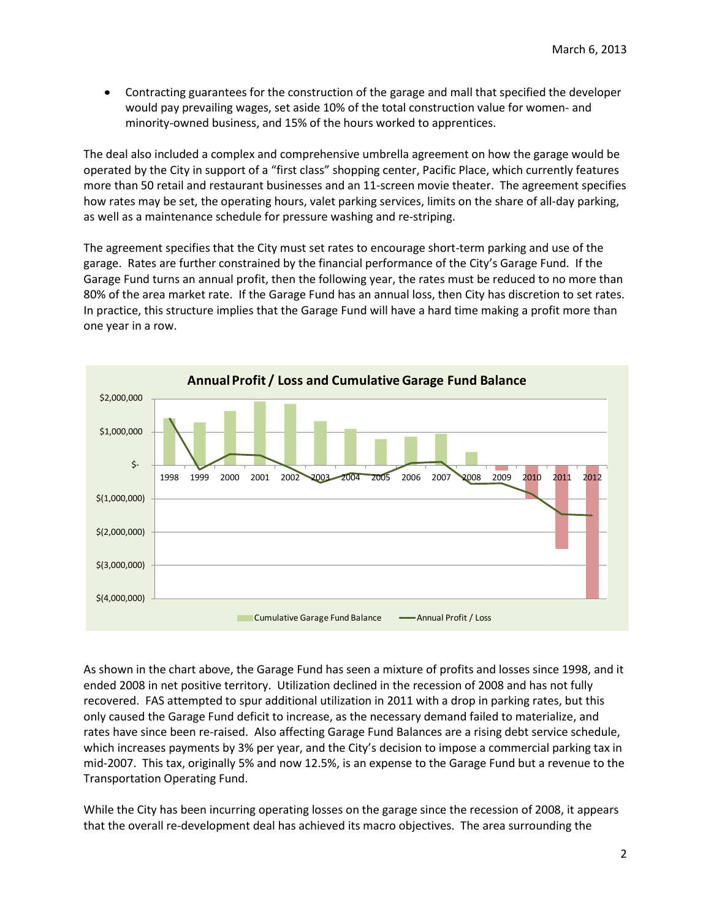Contracting guarantees for the construction of the garage and mall that specified the developer would pay prevailing wages, set aside 10% of the total construction value for women- and minority-owned business, and 15% of the hours worked to apprentices.

The deal also included a complex and comprehensive umbrella agreement on how the garage would be operated by the City in support of a "first class" shopping center, Pacific Place, which currently features more than 50 retail and restaurant businesses and an 11-screen movie theater. The agreement specifies how rates may be set, the operating hours, valet parking services, limits on the share of all-day parking, as well as a maintenance schedule for pressure washing and re-striping.

The agreement specifies that the City must set rates to encourage short-term parking and use of the garage. Rates are further constrained by the financial performance of the City's Garage Fund. If the Garage Fund turns an annual profit, then the following year, the rates must be reduced to no more than 80% of the area market rate. If the Garage Fund has an annual loss, then City has discretion to set rates. In practice, this structure implies that the Garage Fund will have a hard time making a profit more than one year in a row.



As shown in the chart above, the Garage Fund has seen a mixture of profits and losses since 1998, and it ended 2008 in net positive territory. Utilization declined in the recession of 2008 and has not fully recovered. FAS attempted to spur additional utilization in 2011 with a drop in parking rates, but this only caused the Garage Fund deficit to increase, as the necessary demand failed to materialize, and rates have since been re-raised. Also affecting Garage Fund Balances are a rising debt service schedule, which increases payments by 3% per year, and the City's decision to impose a commercial parking tax in mid-2007. This tax, originally 5% and now 12.5%, is an expense to the Garage Fund but a revenue to the Transportation Operating Fund.

While the City has been incurring operating losses on the garage since the recession of 2008, it appears that the overall re-development deal has achieved its macro objectives. The area surrounding the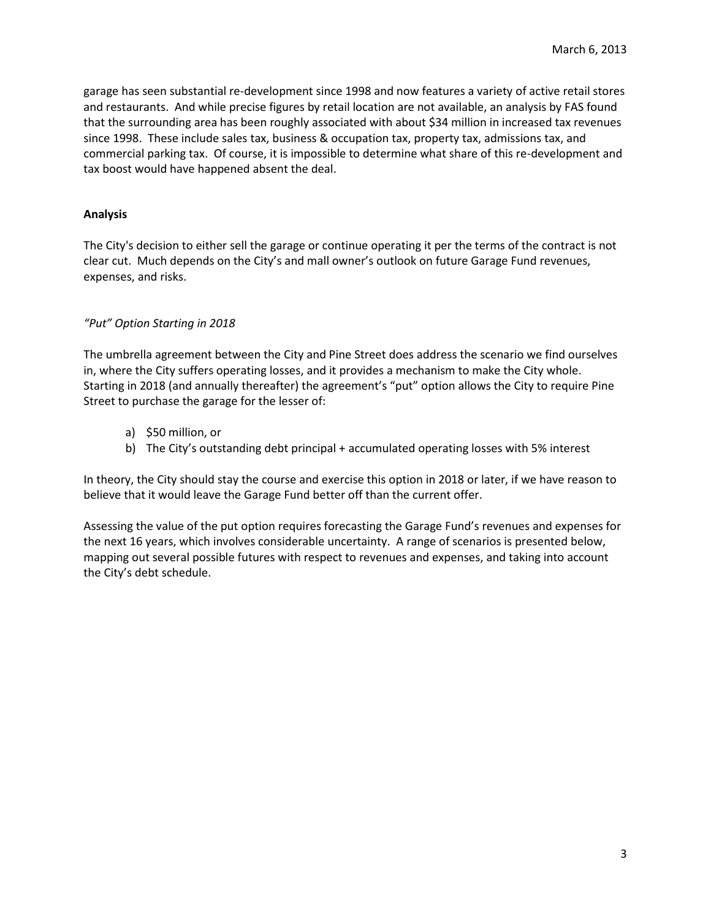garage has seen substantial re-development since 1998 and now features a variety of active retail stores and restaurants. And while precise figures by retail location are not available, an analysis by FAS found that the surrounding area has been roughly associated with about \$34 million in increased tax revenues since 1998. These include sales tax, business & occupation tax, property tax, admissions tax, and commercial parking tax. Of course, it is impossible to determine what share of this re-development and tax boost would have happened absent the deal.

# **Analysis**

The City's decision to either sell the garage or continue operating it per the terms of the contract is not clear cut. Much depends on the City's and mall owner's outlook on future Garage Fund revenues, expenses, and risks.

## *"Put" Option Starting in 2018*

The umbrella agreement between the City and Pine Street does address the scenario we find ourselves in, where the City suffers operating losses, and it provides a mechanism to make the City whole. Starting in 2018 (and annually thereafter) the agreement's "put" option allows the City to require Pine Street to purchase the garage for the lesser of:

- a) \$50 million, or
- b) The City's outstanding debt principal + accumulated operating losses with 5% interest

In theory, the City should stay the course and exercise this option in 2018 or later, if we have reason to believe that it would leave the Garage Fund better off than the current offer.

Assessing the value of the put option requires forecasting the Garage Fund's revenues and expenses for the next 16 years, which involves considerable uncertainty. A range of scenarios is presented below, mapping out several possible futures with respect to revenues and expenses, and taking into account the City's debt schedule.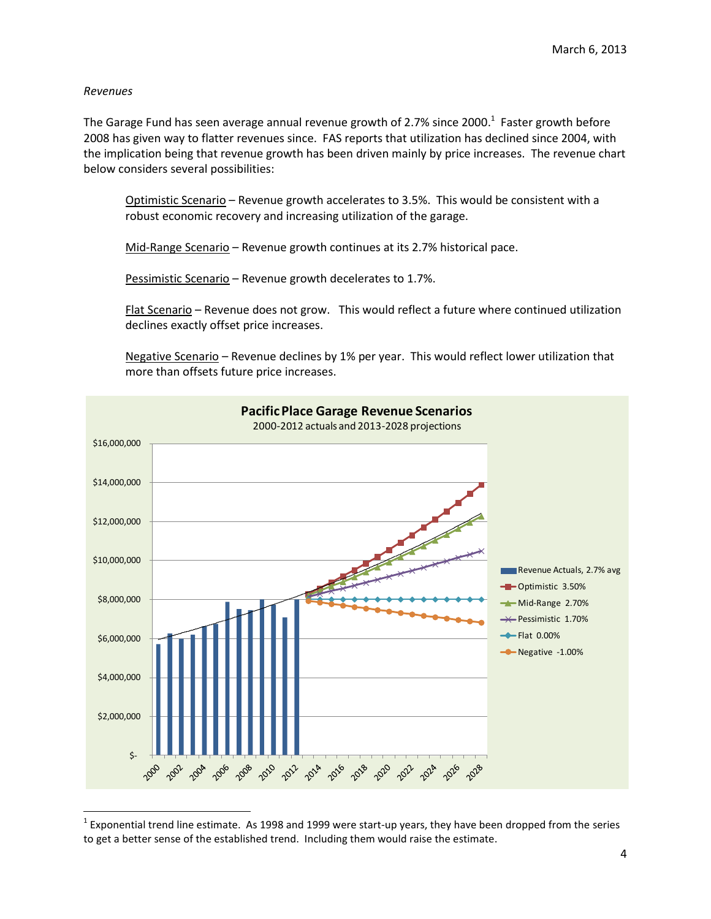## *Revenues*

The Garage Fund has seen average annual revenue growth of 2.7% since 2000.<sup>1</sup> Faster growth before 2008 has given way to flatter revenues since. FAS reports that utilization has declined since 2004, with the implication being that revenue growth has been driven mainly by price increases. The revenue chart below considers several possibilities:

Optimistic Scenario – Revenue growth accelerates to 3.5%. This would be consistent with a robust economic recovery and increasing utilization of the garage.

Mid-Range Scenario - Revenue growth continues at its 2.7% historical pace.

Pessimistic Scenario – Revenue growth decelerates to 1.7%.

Flat Scenario – Revenue does not grow. This would reflect a future where continued utilization declines exactly offset price increases.

Negative Scenario - Revenue declines by 1% per year. This would reflect lower utilization that more than offsets future price increases.



 $^1$  Exponential trend line estimate. As 1998 and 1999 were start-up years, they have been dropped from the series to get a better sense of the established trend. Including them would raise the estimate.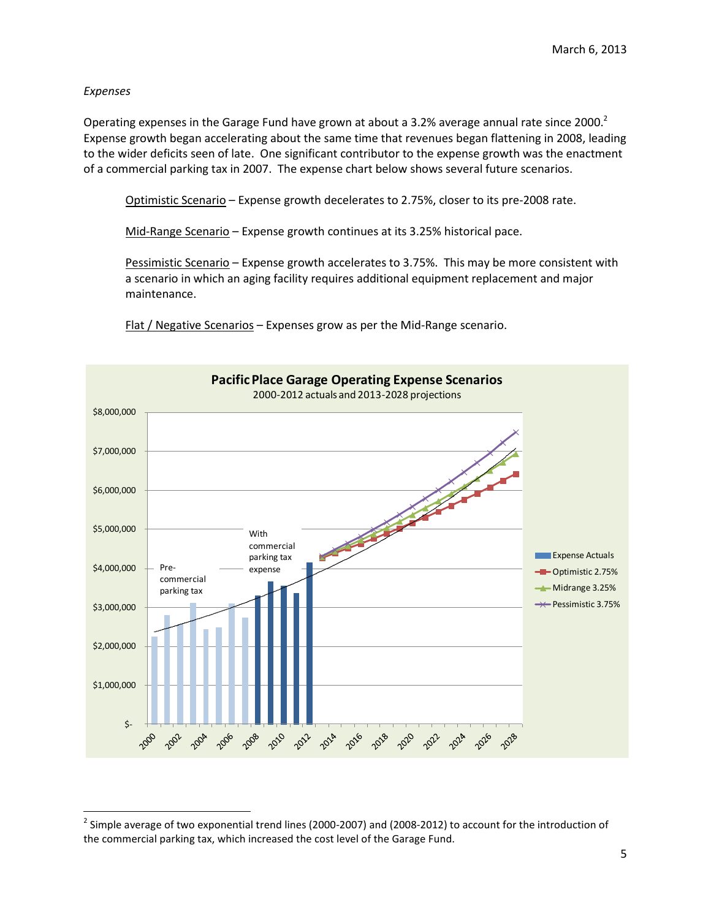# *Expenses*

l

Operating expenses in the Garage Fund have grown at about a 3.2% average annual rate since 2000.<sup>2</sup> Expense growth began accelerating about the same time that revenues began flattening in 2008, leading to the wider deficits seen of late. One significant contributor to the expense growth was the enactment of a commercial parking tax in 2007. The expense chart below shows several future scenarios.

Optimistic Scenario – Expense growth decelerates to 2.75%, closer to its pre-2008 rate.

Mid-Range Scenario – Expense growth continues at its 3.25% historical pace.

Pessimistic Scenario – Expense growth accelerates to 3.75%. This may be more consistent with a scenario in which an aging facility requires additional equipment replacement and major maintenance.

Flat / Negative Scenarios – Expenses grow as per the Mid-Range scenario.



 $^2$  Simple average of two exponential trend lines (2000-2007) and (2008-2012) to account for the introduction of the commercial parking tax, which increased the cost level of the Garage Fund.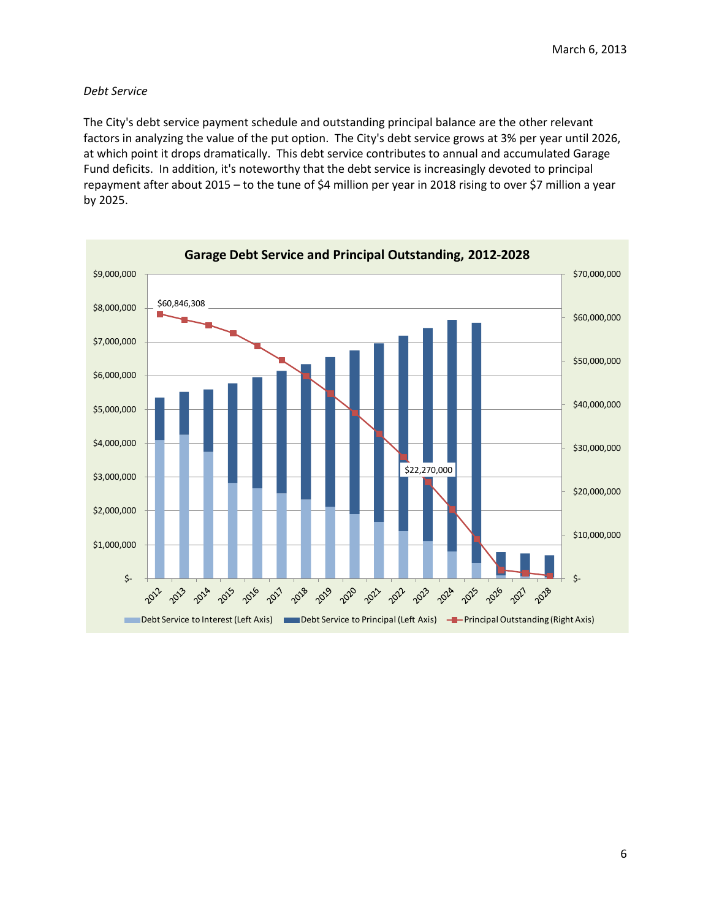## *Debt Service*

The City's debt service payment schedule and outstanding principal balance are the other relevant factors in analyzing the value of the put option. The City's debt service grows at 3% per year until 2026, at which point it drops dramatically. This debt service contributes to annual and accumulated Garage Fund deficits. In addition, it's noteworthy that the debt service is increasingly devoted to principal repayment after about 2015 – to the tune of \$4 million per year in 2018 rising to over \$7 million a year by 2025.

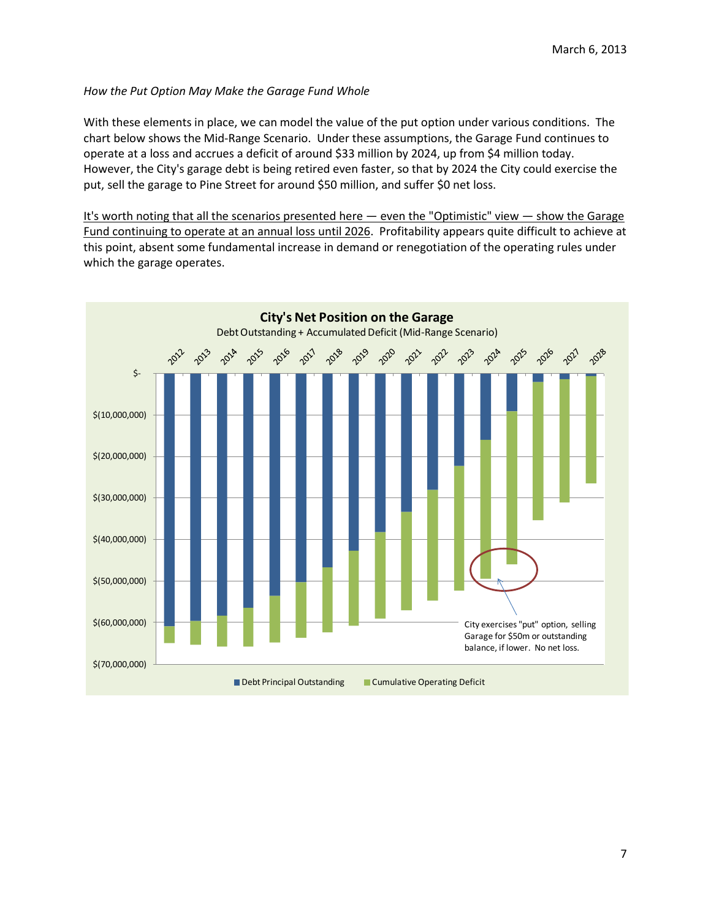# *How the Put Option May Make the Garage Fund Whole*

With these elements in place, we can model the value of the put option under various conditions. The chart below shows the Mid-Range Scenario. Under these assumptions, the Garage Fund continues to operate at a loss and accrues a deficit of around \$33 million by 2024, up from \$4 million today. However, the City's garage debt is being retired even faster, so that by 2024 the City could exercise the put, sell the garage to Pine Street for around \$50 million, and suffer \$0 net loss.

It's worth noting that all the scenarios presented here — even the "Optimistic" view — show the Garage Fund continuing to operate at an annual loss until 2026. Profitability appears quite difficult to achieve at this point, absent some fundamental increase in demand or renegotiation of the operating rules under which the garage operates.

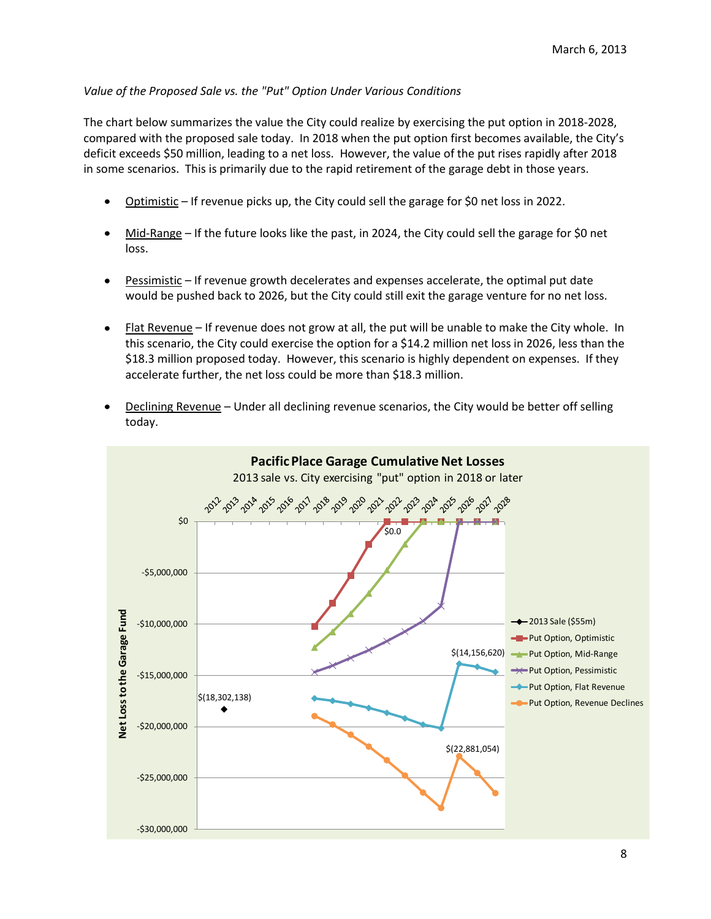# *Value of the Proposed Sale vs. the "Put" Option Under Various Conditions*

The chart below summarizes the value the City could realize by exercising the put option in 2018-2028, compared with the proposed sale today. In 2018 when the put option first becomes available, the City's deficit exceeds \$50 million, leading to a net loss. However, the value of the put rises rapidly after 2018 in some scenarios. This is primarily due to the rapid retirement of the garage debt in those years.

- Optimistic If revenue picks up, the City could sell the garage for \$0 net loss in 2022.
- Mid-Range If the future looks like the past, in 2024, the City could sell the garage for \$0 net  $\bullet$ loss.
- Pessimistic If revenue growth decelerates and expenses accelerate, the optimal put date  $\bullet$ would be pushed back to 2026, but the City could still exit the garage venture for no net loss.
- Flat Revenue If revenue does not grow at all, the put will be unable to make the City whole. In this scenario, the City could exercise the option for a \$14.2 million net loss in 2026, less than the \$18.3 million proposed today. However, this scenario is highly dependent on expenses. If they accelerate further, the net loss could be more than \$18.3 million.
- Declining Revenue Under all declining revenue scenarios, the City would be better off selling today.

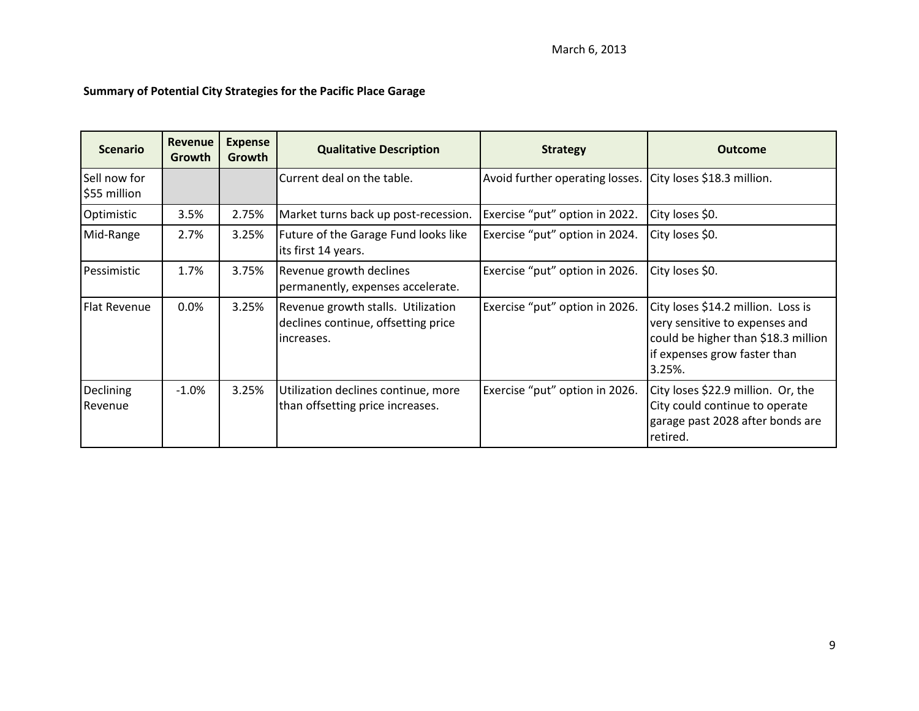# **Summary of Potential City Strategies for the Pacific Place Garage**

| <b>Scenario</b>              | <b>Revenue</b><br>Growth | <b>Expense</b><br>Growth | <b>Qualitative Description</b>                                                          | <b>Strategy</b>                                            | <b>Outcome</b>                                                                                                                                           |
|------------------------------|--------------------------|--------------------------|-----------------------------------------------------------------------------------------|------------------------------------------------------------|----------------------------------------------------------------------------------------------------------------------------------------------------------|
| Sell now for<br>\$55 million |                          |                          | Current deal on the table.                                                              | Avoid further operating losses. City loses \$18.3 million. |                                                                                                                                                          |
| Optimistic                   | 3.5%                     | 2.75%                    | Market turns back up post-recession.                                                    | Exercise "put" option in 2022.                             | City loses \$0.                                                                                                                                          |
| Mid-Range                    | 2.7%                     | 3.25%                    | Future of the Garage Fund looks like<br>its first 14 years.                             | Exercise "put" option in 2024.                             | City loses \$0.                                                                                                                                          |
| Pessimistic                  | 1.7%                     | 3.75%                    | Revenue growth declines<br>permanently, expenses accelerate.                            | Exercise "put" option in 2026.                             | City loses \$0.                                                                                                                                          |
| <b>Flat Revenue</b>          | 0.0%                     | 3.25%                    | Revenue growth stalls. Utilization<br>declines continue, offsetting price<br>increases. | Exercise "put" option in 2026.                             | City loses \$14.2 million. Loss is<br>very sensitive to expenses and<br>could be higher than \$18.3 million<br>if expenses grow faster than<br>$3.25%$ . |
| <b>Declining</b><br>Revenue  | $-1.0%$                  | 3.25%                    | Utilization declines continue, more<br>than offsetting price increases.                 | Exercise "put" option in 2026.                             | City loses \$22.9 million. Or, the<br>City could continue to operate<br>garage past 2028 after bonds are<br>retired.                                     |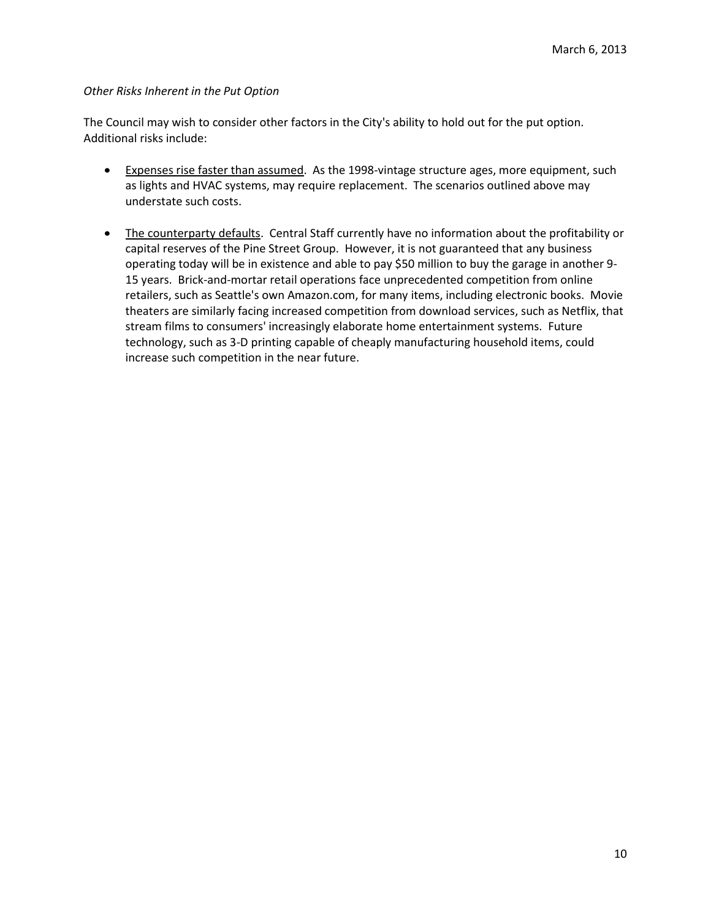# *Other Risks Inherent in the Put Option*

The Council may wish to consider other factors in the City's ability to hold out for the put option. Additional risks include:

- **Expenses rise faster than assumed.** As the 1998-vintage structure ages, more equipment, such as lights and HVAC systems, may require replacement. The scenarios outlined above may understate such costs.
- The counterparty defaults. Central Staff currently have no information about the profitability or capital reserves of the Pine Street Group. However, it is not guaranteed that any business operating today will be in existence and able to pay \$50 million to buy the garage in another 9- 15 years. Brick-and-mortar retail operations face unprecedented competition from online retailers, such as Seattle's own Amazon.com, for many items, including electronic books. Movie theaters are similarly facing increased competition from download services, such as Netflix, that stream films to consumers' increasingly elaborate home entertainment systems. Future technology, such as 3-D printing capable of cheaply manufacturing household items, could increase such competition in the near future.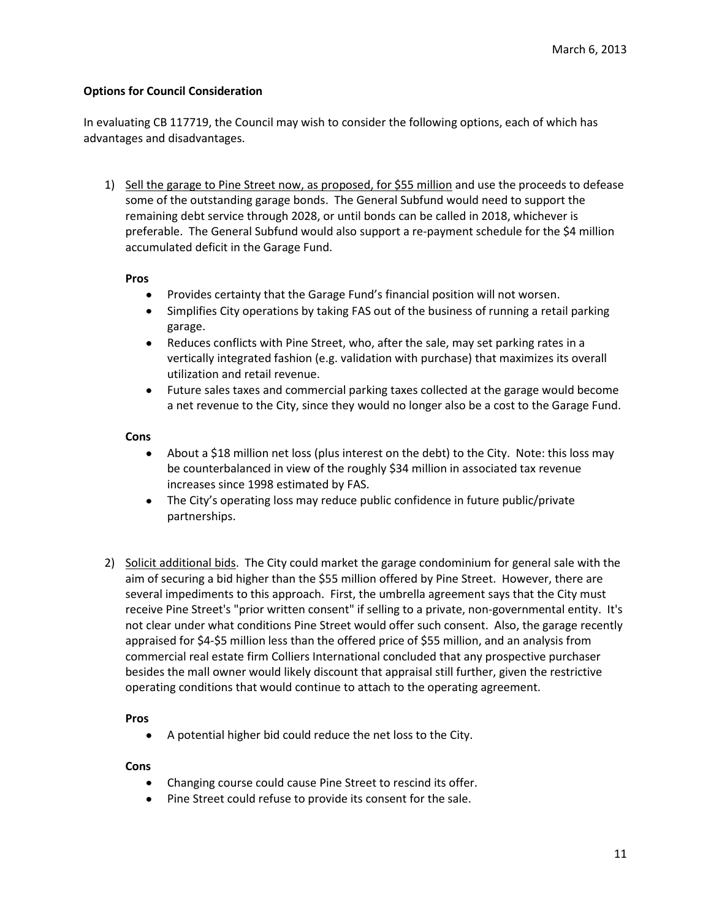# **Options for Council Consideration**

In evaluating CB 117719, the Council may wish to consider the following options, each of which has advantages and disadvantages.

1) Sell the garage to Pine Street now, as proposed, for \$55 million and use the proceeds to defease some of the outstanding garage bonds. The General Subfund would need to support the remaining debt service through 2028, or until bonds can be called in 2018, whichever is preferable. The General Subfund would also support a re-payment schedule for the \$4 million accumulated deficit in the Garage Fund.

#### **Pros**

- Provides certainty that the Garage Fund's financial position will not worsen.  $\bullet$
- Simplifies City operations by taking FAS out of the business of running a retail parking garage.
- $\bullet$ Reduces conflicts with Pine Street, who, after the sale, may set parking rates in a vertically integrated fashion (e.g. validation with purchase) that maximizes its overall utilization and retail revenue.
- Future sales taxes and commercial parking taxes collected at the garage would become  $\bullet$ a net revenue to the City, since they would no longer also be a cost to the Garage Fund.

## **Cons**

- About a \$18 million net loss (plus interest on the debt) to the City. Note: this loss may be counterbalanced in view of the roughly \$34 million in associated tax revenue increases since 1998 estimated by FAS.
- The City's operating loss may reduce public confidence in future public/private partnerships.
- 2) Solicit additional bids. The City could market the garage condominium for general sale with the aim of securing a bid higher than the \$55 million offered by Pine Street. However, there are several impediments to this approach. First, the umbrella agreement says that the City must receive Pine Street's "prior written consent" if selling to a private, non-governmental entity. It's not clear under what conditions Pine Street would offer such consent. Also, the garage recently appraised for \$4-\$5 million less than the offered price of \$55 million, and an analysis from commercial real estate firm Colliers International concluded that any prospective purchaser besides the mall owner would likely discount that appraisal still further, given the restrictive operating conditions that would continue to attach to the operating agreement.

#### **Pros**

A potential higher bid could reduce the net loss to the City.

#### **Cons**

- $\bullet$ Changing course could cause Pine Street to rescind its offer.
- $\bullet$ Pine Street could refuse to provide its consent for the sale.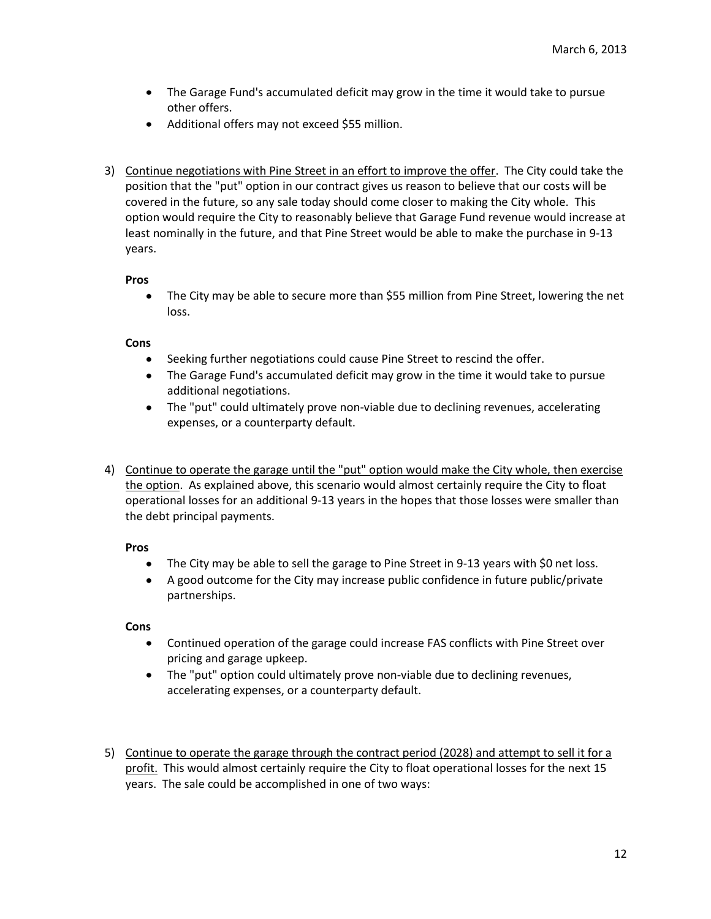- The Garage Fund's accumulated deficit may grow in the time it would take to pursue other offers.
- Additional offers may not exceed \$55 million.
- 3) Continue negotiations with Pine Street in an effort to improve the offer. The City could take the position that the "put" option in our contract gives us reason to believe that our costs will be covered in the future, so any sale today should come closer to making the City whole. This option would require the City to reasonably believe that Garage Fund revenue would increase at least nominally in the future, and that Pine Street would be able to make the purchase in 9-13 years.

## **Pros**

The City may be able to secure more than \$55 million from Pine Street, lowering the net  $\bullet$ loss.

# **Cons**

- Seeking further negotiations could cause Pine Street to rescind the offer.  $\bullet$
- The Garage Fund's accumulated deficit may grow in the time it would take to pursue additional negotiations.
- The "put" could ultimately prove non-viable due to declining revenues, accelerating expenses, or a counterparty default.
- 4) Continue to operate the garage until the "put" option would make the City whole, then exercise the option. As explained above, this scenario would almost certainly require the City to float operational losses for an additional 9-13 years in the hopes that those losses were smaller than the debt principal payments.

# **Pros**

- The City may be able to sell the garage to Pine Street in 9-13 years with \$0 net loss.
- A good outcome for the City may increase public confidence in future public/private partnerships.

#### **Cons**

- $\bullet$ Continued operation of the garage could increase FAS conflicts with Pine Street over pricing and garage upkeep.
- The "put" option could ultimately prove non-viable due to declining revenues, accelerating expenses, or a counterparty default.
- 5) Continue to operate the garage through the contract period (2028) and attempt to sell it for a profit. This would almost certainly require the City to float operational losses for the next 15 years. The sale could be accomplished in one of two ways: